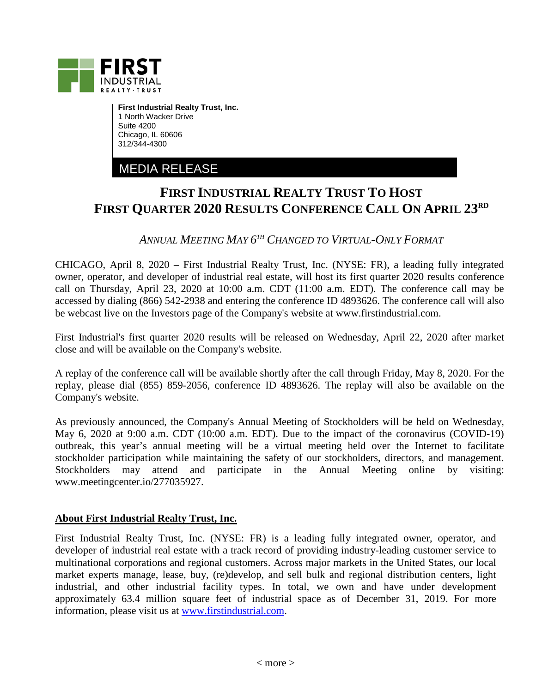

**First Industrial Realty Trust, Inc.** 1 North Wacker Drive Suite 4200 Chicago, IL 60606 312/344-4300

MEDIA RELEASE

## **FIRST INDUSTRIAL REALTY TRUST TO HOST FIRST QUARTER 2020 RESULTS CONFERENCE CALL ON APRIL 23RD**

*ANNUAL MEETING MAY 6TH CHANGED TO VIRTUAL-ONLY FORMAT* 

CHICAGO, April 8, 2020 – First Industrial Realty Trust, Inc. (NYSE: FR), a leading fully integrated owner, operator, and developer of industrial real estate, will host its first quarter 2020 results conference call on Thursday, April 23, 2020 at 10:00 a.m. CDT (11:00 a.m. EDT). The conference call may be accessed by dialing (866) 542-2938 and entering the conference ID 4893626. The conference call will also be webcast live on the Investors page of the Company's website at www.firstindustrial.com.

First Industrial's first quarter 2020 results will be released on Wednesday, April 22, 2020 after market close and will be available on the Company's website.

A replay of the conference call will be available shortly after the call through Friday, May 8, 2020. For the replay, please dial (855) 859-2056, conference ID 4893626. The replay will also be available on the Company's website.

As previously announced, the Company's Annual Meeting of Stockholders will be held on Wednesday, May 6, 2020 at 9:00 a.m. CDT (10:00 a.m. EDT). Due to the impact of the coronavirus (COVID-19) outbreak, this year's annual meeting will be a virtual meeting held over the Internet to facilitate stockholder participation while maintaining the safety of our stockholders, directors, and management. Stockholders may attend and participate in the Annual Meeting online by visiting: www.meetingcenter.io/277035927.

## **About First Industrial Realty Trust, Inc.**

First Industrial Realty Trust, Inc. (NYSE: FR) is a leading fully integrated owner, operator, and developer of industrial real estate with a track record of providing industry-leading customer service to multinational corporations and regional customers. Across major markets in the United States, our local market experts manage, lease, buy, (re)develop, and sell bulk and regional distribution centers, light industrial, and other industrial facility types. In total, we own and have under development approximately 63.4 million square feet of industrial space as of December 31, 2019. For more information, please visit us at [www.firstindustrial.com.](http://www.firstindustrial.com/)